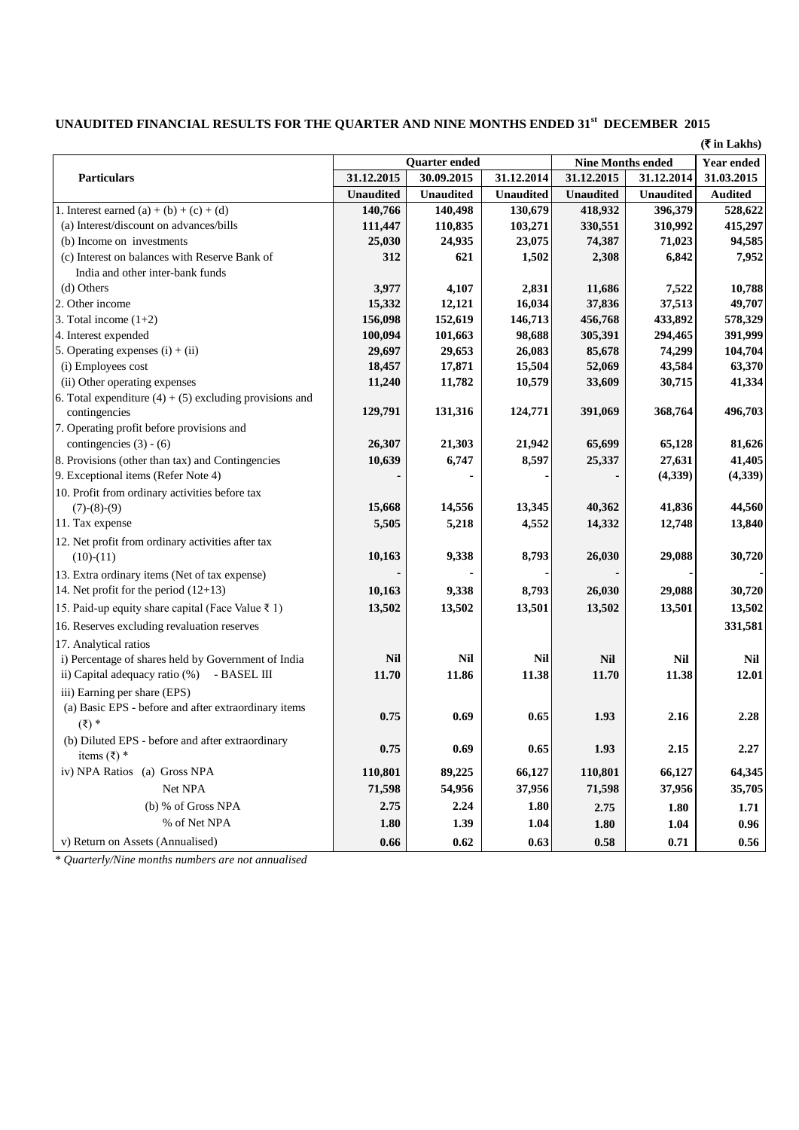## **UNAUDITED FINANCIAL RESULTS FOR THE QUARTER AND NINE MONTHS ENDED 31st DECEMBER 2015**

**(**` **in Lakhs)**

| <b>Particulars</b>                                        | <b>Quarter ended</b> |                  |                  | <b>Nine Months ended</b> |                  | <b>Year ended</b> |
|-----------------------------------------------------------|----------------------|------------------|------------------|--------------------------|------------------|-------------------|
|                                                           | 31.12.2015           | 30.09.2015       | 31.12.2014       | 31.12.2015               | 31.12.2014       | 31.03.2015        |
|                                                           | <b>Unaudited</b>     | <b>Unaudited</b> | <b>Unaudited</b> | <b>Unaudited</b>         | <b>Unaudited</b> | <b>Audited</b>    |
| 1. Interest earned (a) + (b) + (c) + (d)                  | 140,766              | 140,498          | 130,679          | 418,932                  | 396,379          | 528,622           |
| (a) Interest/discount on advances/bills                   | 111,447              | 110,835          | 103,271          | 330,551                  | 310,992          | 415,297           |
| (b) Income on investments                                 | 25,030               | 24,935           | 23,075           | 74,387                   | 71,023           | 94,585            |
| (c) Interest on balances with Reserve Bank of             | 312                  | 621              | 1,502            | 2,308                    | 6,842            | 7,952             |
| India and other inter-bank funds                          |                      |                  |                  |                          |                  |                   |
| (d) Others                                                | 3,977                | 4,107            | 2,831            | 11,686                   | 7,522            | 10,788            |
| 2. Other income                                           | 15,332               | 12,121           | 16,034           | 37,836                   | 37,513           | 49,707            |
| 3. Total income $(1+2)$                                   | 156,098              | 152,619          | 146,713          | 456,768                  | 433,892          | 578,329           |
| 4. Interest expended                                      | 100,094              | 101,663          | 98,688           | 305,391                  | 294,465          | 391,999           |
| 5. Operating expenses $(i) + (ii)$                        | 29,697               | 29,653           | 26,083           | 85,678                   | 74,299           | 104,704           |
| (i) Employees cost                                        | 18,457               | 17,871           | 15,504           | 52,069                   | 43,584           | 63,370            |
| (ii) Other operating expenses                             | 11,240               | 11,782           | 10,579           | 33,609                   | 30,715           | 41,334            |
| 6. Total expenditure $(4) + (5)$ excluding provisions and |                      |                  |                  |                          |                  |                   |
| contingencies                                             | 129,791              | 131,316          | 124,771          | 391,069                  | 368,764          | 496,703           |
| 7. Operating profit before provisions and                 |                      |                  |                  |                          |                  |                   |
| contingencies $(3) - (6)$                                 | 26,307               | 21,303           | 21,942           | 65,699                   | 65,128           | 81,626            |
| 8. Provisions (other than tax) and Contingencies          | 10,639               | 6,747            | 8,597            | 25,337                   | 27,631           | 41,405            |
| 9. Exceptional items (Refer Note 4)                       |                      |                  |                  |                          | (4, 339)         | (4, 339)          |
| 10. Profit from ordinary activities before tax            |                      |                  |                  |                          |                  |                   |
| $(7)-(8)-(9)$                                             | 15,668               | 14,556           | 13,345           | 40,362                   | 41,836           | 44,560            |
| 11. Tax expense                                           | 5,505                | 5,218            | 4,552            | 14,332                   | 12,748           | 13,840            |
| 12. Net profit from ordinary activities after tax         |                      |                  |                  |                          |                  |                   |
| $(10)-(11)$                                               | 10,163               | 9,338            | 8,793            | 26,030                   | 29,088           | 30,720            |
| 13. Extra ordinary items (Net of tax expense)             |                      |                  |                  |                          |                  |                   |
| 14. Net profit for the period $(12+13)$                   | 10,163               | 9,338            | 8,793            | 26,030                   | 29,088           | 30,720            |
| 15. Paid-up equity share capital (Face Value ₹ 1)         | 13,502               | 13,502           | 13,501           | 13,502                   | 13,501           | 13,502            |
| 16. Reserves excluding revaluation reserves               |                      |                  |                  |                          |                  | 331,581           |
| 17. Analytical ratios                                     |                      |                  |                  |                          |                  |                   |
| i) Percentage of shares held by Government of India       | <b>Nil</b>           | <b>Nil</b>       | <b>Nil</b>       | <b>Nil</b>               | <b>Nil</b>       | <b>Nil</b>        |
| ii) Capital adequacy ratio (%) - BASEL III                | 11.70                | 11.86            | 11.38            | 11.70                    | 11.38            | 12.01             |
| iii) Earning per share (EPS)                              |                      |                  |                  |                          |                  |                   |
| (a) Basic EPS - before and after extraordinary items      |                      |                  |                  |                          |                  |                   |
| $(\bar{\xi})$ *                                           | 0.75                 | 0.69             | 0.65             | 1.93                     | 2.16             | 2.28              |
| (b) Diluted EPS - before and after extraordinary          |                      |                  |                  |                          |                  |                   |
| items $(\overline{\xi})$ *                                | 0.75                 | 0.69             | 0.65             | 1.93                     | 2.15             | 2.27              |
| iv) NPA Ratios (a) Gross NPA                              | 110,801              | 89,225           | 66,127           | 110,801                  | 66,127           | 64,345            |
| Net NPA                                                   | 71,598               | 54,956           | 37,956           | 71,598                   | 37,956           | 35,705            |
| (b) % of Gross NPA                                        | 2.75                 | 2.24             | 1.80             | 2.75                     | 1.80             | 1.71              |
| % of Net NPA                                              | 1.80                 | 1.39             | 1.04             |                          |                  |                   |
|                                                           |                      |                  |                  | 1.80                     | 1.04             | 0.96              |
| v) Return on Assets (Annualised)                          | 0.66                 | 0.62             | 0.63             | 0.58                     | 0.71             | 0.56              |

\* *Quarterly/Nine months numbers are not annualised*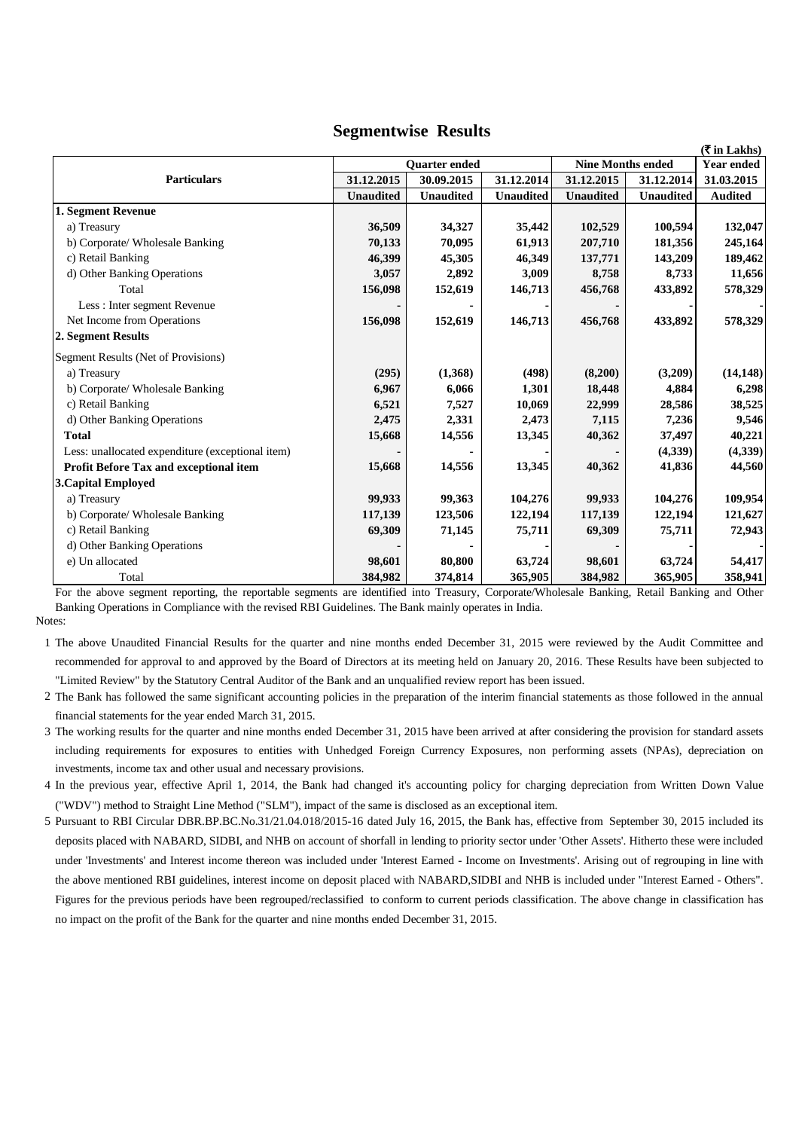## **Segmentwise Results**

|                                                  |                      |                  |                  |                          |                  | $(\overline{\mathbf{\mathsf{F}}}$ in Lakhs) |
|--------------------------------------------------|----------------------|------------------|------------------|--------------------------|------------------|---------------------------------------------|
|                                                  | <b>Ouarter ended</b> |                  |                  | <b>Nine Months ended</b> |                  | <b>Year ended</b>                           |
| <b>Particulars</b>                               | 31.12.2015           | 30.09.2015       | 31.12.2014       | 31.12.2015               | 31.12.2014       | 31.03.2015                                  |
|                                                  | <b>Unaudited</b>     | <b>Unaudited</b> | <b>Unaudited</b> | <b>Unaudited</b>         | <b>Unaudited</b> | <b>Audited</b>                              |
| 1. Segment Revenue                               |                      |                  |                  |                          |                  |                                             |
| a) Treasury                                      | 36,509               | 34,327           | 35,442           | 102,529                  | 100,594          | 132,047                                     |
| b) Corporate/ Wholesale Banking                  | 70,133               | 70,095           | 61,913           | 207,710                  | 181,356          | 245,164                                     |
| c) Retail Banking                                | 46,399               | 45,305           | 46,349           | 137,771                  | 143,209          | 189,462                                     |
| d) Other Banking Operations                      | 3,057                | 2,892            | 3,009            | 8,758                    | 8,733            | 11,656                                      |
| Total                                            | 156,098              | 152,619          | 146,713          | 456,768                  | 433,892          | 578,329                                     |
| Less: Inter segment Revenue                      |                      |                  |                  |                          |                  |                                             |
| Net Income from Operations                       | 156,098              | 152,619          | 146,713          | 456,768                  | 433,892          | 578,329                                     |
| 2. Segment Results                               |                      |                  |                  |                          |                  |                                             |
| Segment Results (Net of Provisions)              |                      |                  |                  |                          |                  |                                             |
| a) Treasury                                      | (295)                | (1,368)          | (498)            | (8,200)                  | (3,209)          | (14, 148)                                   |
| b) Corporate/ Wholesale Banking                  | 6,967                | 6,066            | 1,301            | 18,448                   | 4,884            | 6,298                                       |
| c) Retail Banking                                | 6,521                | 7,527            | 10,069           | 22,999                   | 28,586           | 38,525                                      |
| d) Other Banking Operations                      | 2,475                | 2,331            | 2,473            | 7,115                    | 7,236            | 9,546                                       |
| <b>Total</b>                                     | 15,668               | 14,556           | 13,345           | 40,362                   | 37,497           | 40,221                                      |
| Less: unallocated expenditure (exceptional item) |                      |                  |                  |                          | (4,339)          | (4,339)                                     |
| Profit Before Tax and exceptional item           | 15,668               | 14,556           | 13,345           | 40,362                   | 41,836           | 44,560                                      |
| <b>3. Capital Employed</b>                       |                      |                  |                  |                          |                  |                                             |
| a) Treasury                                      | 99,933               | 99,363           | 104,276          | 99,933                   | 104,276          | 109,954                                     |
| b) Corporate/ Wholesale Banking                  | 117,139              | 123,506          | 122,194          | 117,139                  | 122,194          | 121,627                                     |
| c) Retail Banking                                | 69,309               | 71,145           | 75,711           | 69,309                   | 75,711           | 72,943                                      |
| d) Other Banking Operations                      |                      |                  |                  |                          |                  |                                             |
| e) Un allocated                                  | 98,601               | 80,800           | 63,724           | 98,601                   | 63,724           | 54,417                                      |
| Total                                            | 384,982              | 374,814          | 365,905          | 384,982                  | 365,905          | 358,941                                     |

Notes: For the above segment reporting, the reportable segments are identified into Treasury, Corporate/Wholesale Banking, Retail Banking and Other Banking Operations in Compliance with the revised RBI Guidelines. The Bank mainly operates in India.

1 The above Unaudited Financial Results for the quarter and nine months ended December 31, 2015 were reviewed by the Audit Committee and recommended for approval to and approved by the Board of Directors at its meeting held on January 20, 2016. These Results have been subjected to "Limited Review" by the Statutory Central Auditor of the Bank and an unqualified review report has been issued.

2 The Bank has followed the same significant accounting policies in the preparation of the interim financial statements as those followed in the annual financial statements for the year ended March 31, 2015.

3 The working results for the quarter and nine months ended December 31, 2015 have been arrived at after considering the provision for standard assets including requirements for exposures to entities with Unhedged Foreign Currency Exposures, non performing assets (NPAs), depreciation on investments, income tax and other usual and necessary provisions.

4 In the previous year, effective April 1, 2014, the Bank had changed it's accounting policy for charging depreciation from Written Down Value ("WDV") method to Straight Line Method ("SLM"), impact of the same is disclosed as an exceptional item.

5 Pursuant to RBI Circular DBR.BP.BC.No.31/21.04.018/2015-16 dated July 16, 2015, the Bank has, effective from September 30, 2015 included its deposits placed with NABARD, SIDBI, and NHB on account of shorfall in lending to priority sector under 'Other Assets'. Hitherto these were included under 'Investments' and Interest income thereon was included under 'Interest Earned - Income on Investments'. Arising out of regrouping in line with the above mentioned RBI guidelines, interest income on deposit placed with NABARD,SIDBI and NHB is included under "Interest Earned - Others". Figures for the previous periods have been regrouped/reclassified to conform to current periods classification. The above change in classification has no impact on the profit of the Bank for the quarter and nine months ended December 31, 2015.